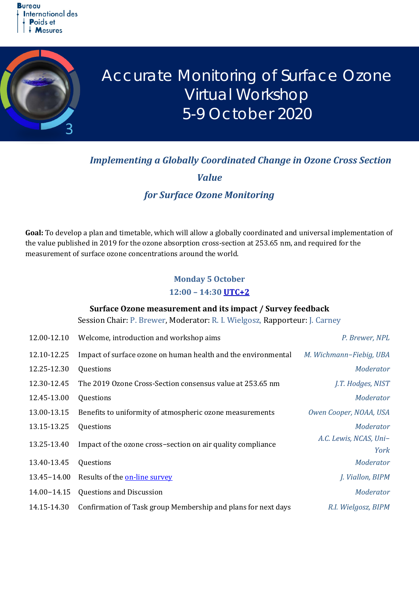

# Accurate Monitoring of Surface Ozone Virtual Workshop 5-9 October 2020

# *Implementing a Globally Coordinated Change in Ozone Cross Section*

*Value* 

# *for Surface Ozone Monitoring*

**Goal:** To develop a plan and timetable, which will allow a globally coordinated and universal implementation of the value published in 2019 for the ozone absorption cross-section at 253.65 nm, and required for the measurement of surface ozone concentrations around the world.

# **Monday 5 October 12:00 – 14:30 [UTC+](https://time.is/en/UTC)2**

#### **Surface Ozone measurement and its impact / Survey feedback**

Session Chair: P. Brewer, Moderator: R. I. Wielgosz, Rapporteur: J. Carney

| 12.00-12.10 | Welcome, introduction and workshop aims                       | P. Brewer, NPL                 |
|-------------|---------------------------------------------------------------|--------------------------------|
| 12.10-12.25 | Impact of surface ozone on human health and the environmental | M. Wichmann-Fiebig, UBA        |
| 12.25-12.30 | Questions                                                     | Moderator                      |
| 12.30-12.45 | The 2019 Ozone Cross-Section consensus value at 253.65 nm     | J.T. Hodges, NIST              |
| 12.45-13.00 | Questions                                                     | Moderator                      |
| 13.00-13.15 | Benefits to uniformity of atmospheric ozone measurements      | Owen Cooper, NOAA, USA         |
| 13.15-13.25 | Questions                                                     | Moderator                      |
| 13.25-13.40 | Impact of the ozone cross-section on air quality compliance   | A.C. Lewis, NCAS, Uni-<br>York |
| 13.40-13.45 | Questions                                                     | Moderator                      |
| 13.45-14.00 | Results of the on-line survey                                 | J. Viallon, BIPM               |
| 14.00-14.15 | <b>Questions and Discussion</b>                               | Moderator                      |
| 14.15-14.30 | Confirmation of Task group Membership and plans for next days | R.I. Wielgosz, BIPM            |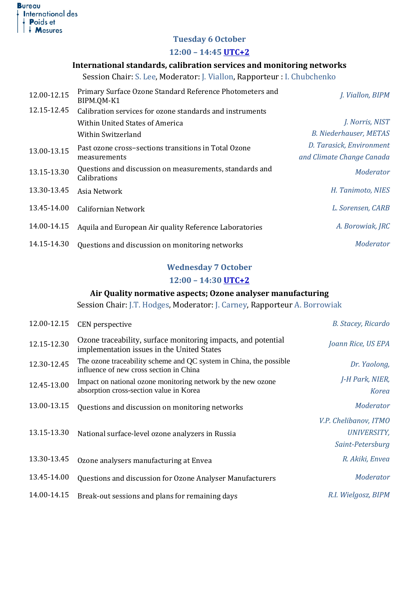

# **Tuesday 6 October**

#### **12:00 – 14:45 [UTC+](https://time.is/en/UTC)2**

## **International standards, calibration services and monitoring networks**

Session Chair: S. Lee, Moderator: J. Viallon, Rapporteur : I. Chubchenko

| 12.00-12.15 | Primary Surface Ozone Standard Reference Photometers and<br>BIPM.QM-K1  | J. Viallon, BIPM              |
|-------------|-------------------------------------------------------------------------|-------------------------------|
| 12.15-12.45 | Calibration services for ozone standards and instruments                |                               |
|             | Within United States of America                                         | J. Norris, NIST               |
|             | Within Switzerland                                                      | <b>B. Niederhauser, METAS</b> |
| 13.00-13.15 | Past ozone cross-sections transitions in Total Ozone<br>measurements    | D. Tarasick, Environment      |
|             |                                                                         | and Climate Change Canada     |
| 13.15-13.30 | Questions and discussion on measurements, standards and<br>Calibrations | Moderator                     |
| 13.30-13.45 | Asia Network                                                            | H. Tanimoto, NIES             |
| 13.45-14.00 | Californian Network                                                     | L. Sorensen, CARB             |
| 14.00-14.15 | Aquila and European Air quality Reference Laboratories                  | A. Borowiak, JRC              |
| 14.15-14.30 | Questions and discussion on monitoring networks                         | Moderator                     |

# **Wednesday 7 October**

#### **12:00 – 14:30 [UTC+](https://time.is/en/UTC)2**

# **Air Quality normative aspects; Ozone analyser manufacturing**

Session Chair: J.T. Hodges, Moderator: J. Carney, Rapporteur A. Borrowiak

| 12.00-12.15 | <b>CEN</b> perspective                                                                                        | B. Stacey, Ricardo                                              |
|-------------|---------------------------------------------------------------------------------------------------------------|-----------------------------------------------------------------|
| 12.15-12.30 | Ozone traceability, surface monitoring impacts, and potential<br>implementation issues in the United States   | Joann Rice, US EPA                                              |
| 12.30-12.45 | The ozone traceability scheme and QC system in China, the possible<br>influence of new cross section in China | Dr. Yaolong,                                                    |
| 12.45-13.00 | Impact on national ozone monitoring network by the new ozone<br>absorption cross-section value in Korea       | J-H Park, NIER,<br><b>Korea</b>                                 |
| 13.00-13.15 | Questions and discussion on monitoring networks                                                               | Moderator                                                       |
| 13.15-13.30 | National surface-level ozone analyzers in Russia                                                              | V.P. Chelibanov, ITMO<br><b>UNIVERSITY,</b><br>Saint-Petersburg |
| 13.30-13.45 | Ozone analysers manufacturing at Envea                                                                        | R. Akiki, Envea                                                 |
| 13.45-14.00 | Questions and discussion for Ozone Analyser Manufacturers                                                     | Moderator                                                       |
| 14.00-14.15 | Break-out sessions and plans for remaining days                                                               | R.I. Wielgosz, BIPM                                             |